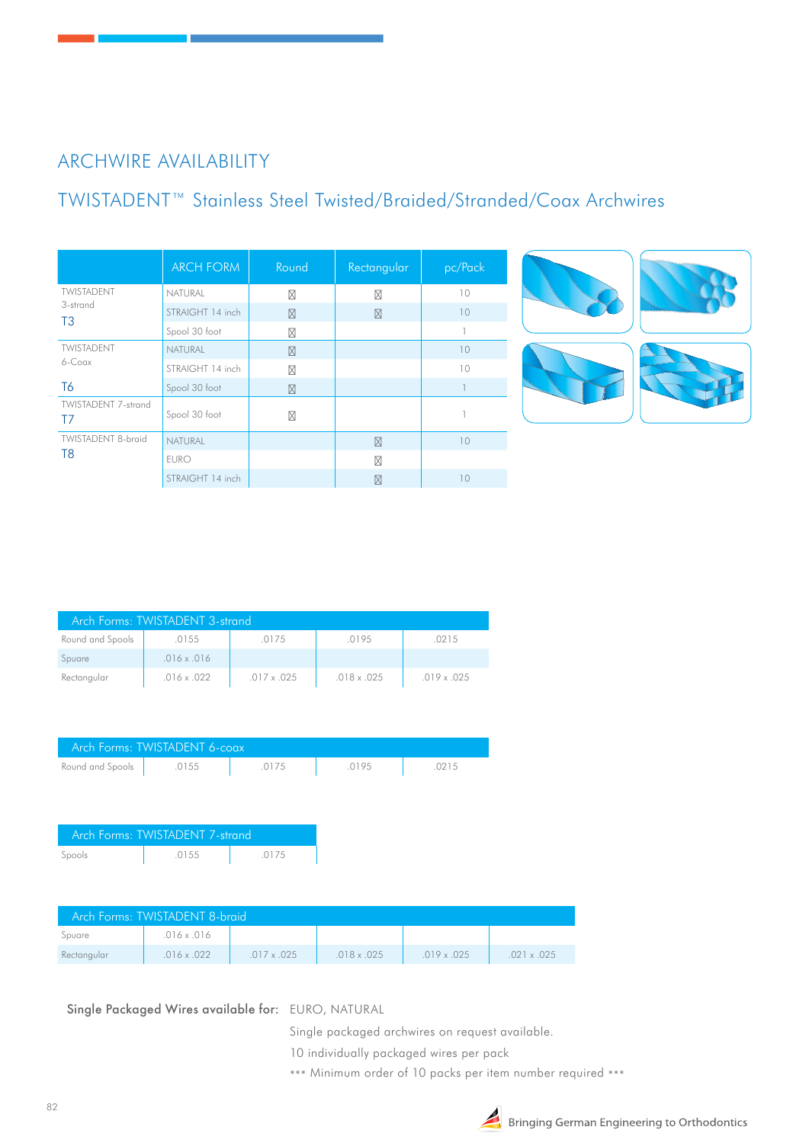## ARCHWIRE AVAILABILITY

# TWISTADENT™ Stainless Steel Twisted/Braided/Stranded/Coax Archwires

|                                             | <b>ARCH FORM</b> | Round | Rectangular | pc/Pack      |
|---------------------------------------------|------------------|-------|-------------|--------------|
| TWISTADENT<br>3-strand<br>T <sub>3</sub>    | NATURAL          |       |             | 10           |
|                                             | STRAIGHT 14 inch |       |             | 10           |
|                                             | Spool 30 foot    |       |             | $\mathbb{I}$ |
| TWISTADENT<br>$6 - Coax$                    | <b>NATURAL</b>   |       |             | 10           |
|                                             | STRAIGHT 14 inch |       |             | 10           |
| T <sub>6</sub>                              | Spool 30 foot    |       |             |              |
| <b>TWISTADENT 7-strand</b><br>T7            | Spool 30 foot    |       |             |              |
| <b>TWISTADENT 8-braid</b><br>T <sub>8</sub> | <b>NATURAL</b>   |       |             | 10           |
|                                             | <b>EURO</b>      |       |             |              |
|                                             | STRAIGHT 14 inch |       |             | 10           |





| Arch Forms: TWISTADENT 3-strand |                    |                    |                    |                    |
|---------------------------------|--------------------|--------------------|--------------------|--------------------|
| Round and Spools                | .0155              | .0175              | .0195              | .0215              |
| Spuare                          | $.016 \times .016$ |                    |                    |                    |
| Rectangular                     | $.016 \times .022$ | $.017 \times .025$ | $.018 \times .025$ | $.019 \times .025$ |

| Arch Forms: TWISTADENT 6-coax |       |       |       |       |  |  |
|-------------------------------|-------|-------|-------|-------|--|--|
| Round and Spools              | .0155 | .0175 | .0195 | .0215 |  |  |

| Arch Forms: TWISTADENT 7-strand |       |       |  |  |  |
|---------------------------------|-------|-------|--|--|--|
| Spools                          | .0155 | .0175 |  |  |  |

| Arch Forms: TWISTADENT 8-braid |                    |                    |                    |                    |                    |
|--------------------------------|--------------------|--------------------|--------------------|--------------------|--------------------|
| Spuare                         | $.016 \times .016$ |                    |                    |                    |                    |
| Rectangular                    | $.016 \times .022$ | $.017 \times .025$ | $.018 \times .025$ | $.019 \times .025$ | $.021 \times .025$ |

Single Packaged Wires available for: EURO, NATURAL

Single packaged archwires on request available.

10 individually packaged wires per pack

\*\*\* Minimum order of 10 packs per item number required \*\*\*